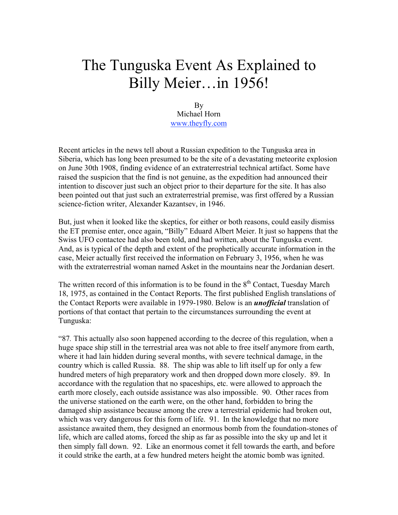## The Tunguska Event As Explained to Billy Meier…in 1956!

By Michael Horn www.theyfly.com

Recent articles in the news tell about a Russian expedition to the Tunguska area in Siberia, which has long been presumed to be the site of a devastating meteorite explosion on June 30th 1908, finding evidence of an extraterrestrial technical artifact. Some have raised the suspicion that the find is not genuine, as the expedition had announced their intention to discover just such an object prior to their departure for the site. It has also been pointed out that just such an extraterrestrial premise, was first offered by a Russian science-fiction writer, Alexander Kazantsev, in 1946.

But, just when it looked like the skeptics, for either or both reasons, could easily dismiss the ET premise enter, once again, "Billy" Eduard Albert Meier. It just so happens that the Swiss UFO contactee had also been told, and had written, about the Tunguska event. And, as is typical of the depth and extent of the prophetically accurate information in the case, Meier actually first received the information on February 3, 1956, when he was with the extraterrestrial woman named Asket in the mountains near the Jordanian desert.

The written record of this information is to be found in the 8<sup>th</sup> Contact, Tuesday March 18, 1975, as contained in the Contact Reports. The first published English translations of the Contact Reports were available in 1979-1980. Below is an *unofficial* translation of portions of that contact that pertain to the circumstances surrounding the event at Tunguska:

"87*.* This actually also soon happened according to the decree of this regulation, when a huge space ship still in the terrestrial area was not able to free itself anymore from earth, where it had lain hidden during several months, with severe technical damage, in the country which is called Russia. 88. The ship was able to lift itself up for only a few hundred meters of high preparatory work and then dropped down more closely. 89. In accordance with the regulation that no spaceships, etc. were allowed to approach the earth more closely, each outside assistance was also impossible. 90. Other races from the universe stationed on the earth were, on the other hand, forbidden to bring the damaged ship assistance because among the crew a terrestrial epidemic had broken out, which was very dangerous for this form of life. 91. In the knowledge that no more assistance awaited them, they designed an enormous bomb from the foundation-stones of life, which are called atoms, forced the ship as far as possible into the sky up and let it then simply fall down. 92. Like an enormous comet it fell towards the earth, and before it could strike the earth, at a few hundred meters height the atomic bomb was ignited.